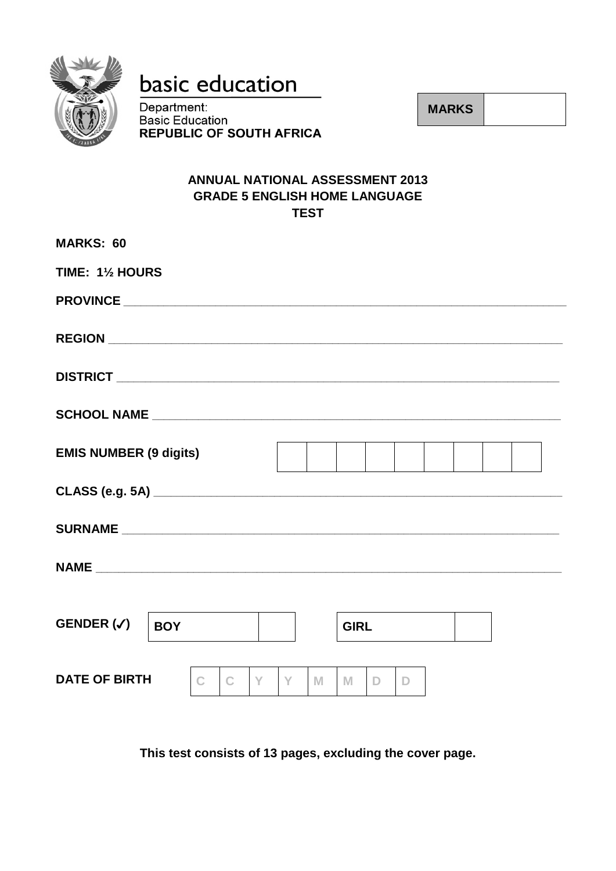

# basic education

Department: **Basic Education REPUBLIC OF SOUTH AFRICA**  **MARKS** 

# **ANNUAL NATIONAL ASSESSMENT 2013 GRADE 5 ENGLISH HOME LANGUAGE TEST**

| <b>MARKS: 60</b>                    |             |             |  |
|-------------------------------------|-------------|-------------|--|
| TIME: 11/2 HOURS                    |             |             |  |
|                                     |             |             |  |
|                                     |             |             |  |
|                                     |             |             |  |
|                                     |             |             |  |
| <b>EMIS NUMBER (9 digits)</b>       |             |             |  |
|                                     |             |             |  |
|                                     |             |             |  |
|                                     |             |             |  |
|                                     |             |             |  |
| GENDER $(\checkmark)$<br><b>BOY</b> |             | <b>GIRL</b> |  |
| <b>DATE OF BIRTH</b><br>Y<br>C      | Y<br>M<br>M | D<br>D      |  |

This test consists of 13 pages, excluding the cover page.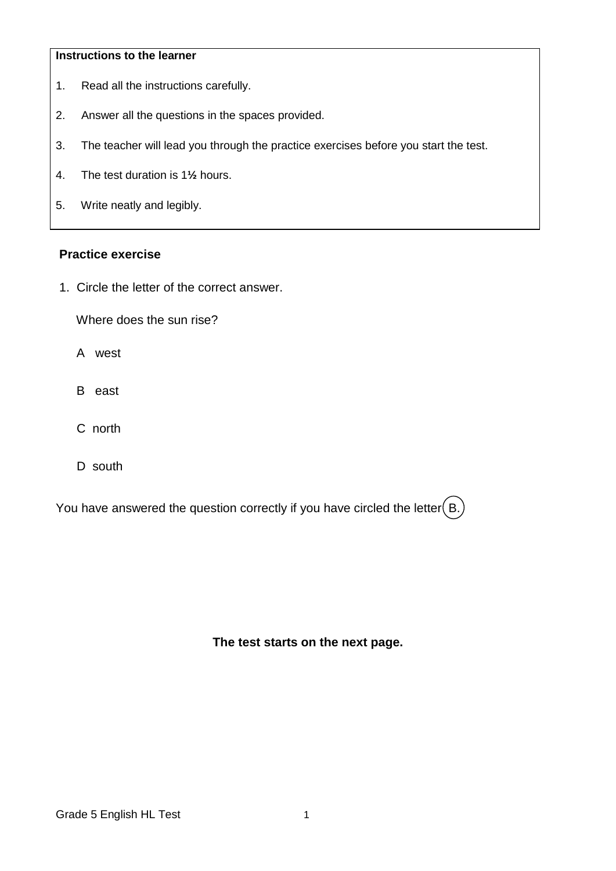#### **Instructions to the learner**

- 1. Read all the instructions carefully.
- 2. Answer all the questions in the spaces provided.
- 3. The teacher will lead you through the practice exercises before you start the test.
- 4. The test duration is 1**½** hours.
- 5. Write neatly and legibly.

## **Practice exercise**

1.Circle the letter of the correct answer.

Where does the sun rise?

- A west
- B east
- C north
- D south

You have answered the question correctly if you have circled the letter  $(B)$ .

**The test starts on the next page.**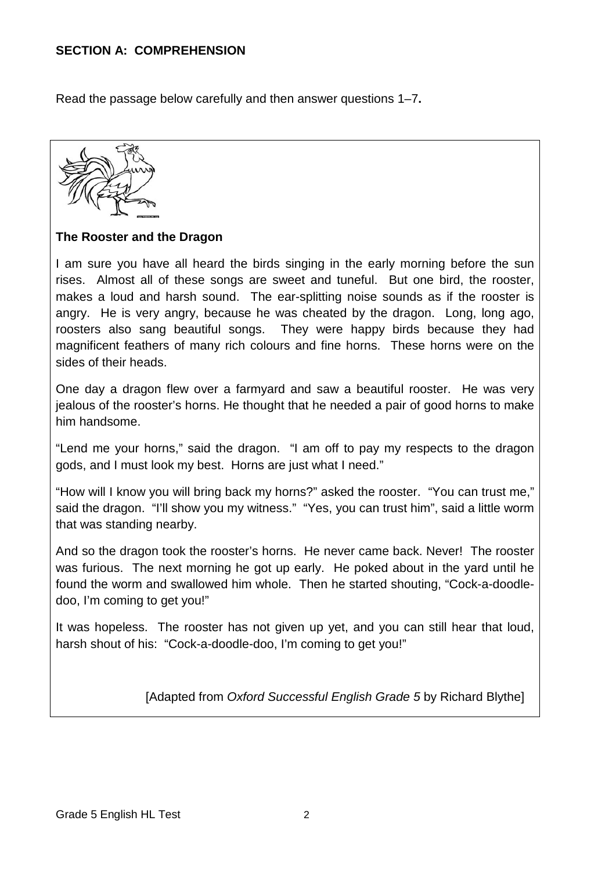## **SECTION A: COMPREHENSION**

Read the passage below carefully and then answer questions 1–7**.**



## **The Rooster and the Dragon**

I am sure you have all heard the birds singing in the early morning before the sun rises. Almost all of these songs are sweet and tuneful. But one bird, the rooster, makes a loud and harsh sound. The ear-splitting noise sounds as if the rooster is angry. He is very angry, because he was cheated by the dragon. Long, long ago, roosters also sang beautiful songs. They were happy birds because they had magnificent feathers of many rich colours and fine horns. These horns were on the sides of their heads.

One day a dragon flew over a farmyard and saw a beautiful rooster. He was very jealous of the rooster's horns. He thought that he needed a pair of good horns to make him handsome.

"Lend me your horns," said the dragon. "I am off to pay my respects to the dragon gods, and I must look my best. Horns are just what I need."

"How will I know you will bring back my horns?" asked the rooster. "You can trust me," said the dragon. "I'll show you my witness." "Yes, you can trust him", said a little worm that was standing nearby.

And so the dragon took the rooster's horns. He never came back. Never! The rooster was furious. The next morning he got up early. He poked about in the yard until he found the worm and swallowed him whole. Then he started shouting, "Cock-a-doodledoo, I'm coming to get you!"

It was hopeless. The rooster has not given up yet, and you can still hear that loud, harsh shout of his: "Cock-a-doodle-doo, I'm coming to get you!"

[Adapted from *Oxford Successful English Grade 5* by Richard Blythe]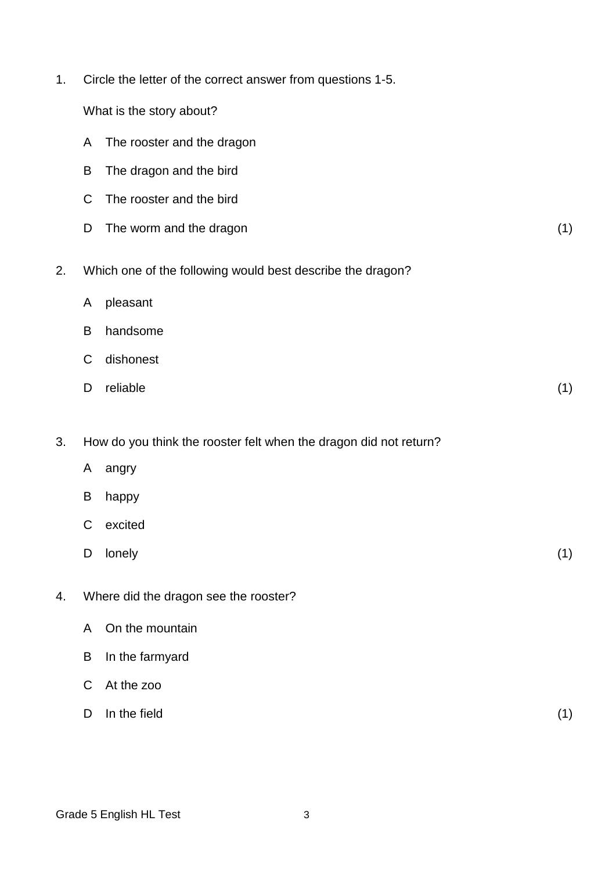| 1. | Circle the letter of the correct answer from questions 1-5. |                                                                   |     |  |
|----|-------------------------------------------------------------|-------------------------------------------------------------------|-----|--|
|    |                                                             | What is the story about?                                          |     |  |
|    | A                                                           | The rooster and the dragon                                        |     |  |
|    | B                                                           | The dragon and the bird                                           |     |  |
|    | C                                                           | The rooster and the bird                                          |     |  |
|    | D                                                           | The worm and the dragon                                           | (1) |  |
| 2. |                                                             | Which one of the following would best describe the dragon?        |     |  |
|    | A                                                           | pleasant                                                          |     |  |
|    | B                                                           | handsome                                                          |     |  |
|    | C                                                           | dishonest                                                         |     |  |
|    | D                                                           | reliable                                                          | (1) |  |
| 3. |                                                             | How do you think the rooster felt when the dragon did not return? |     |  |
|    | A                                                           | angry                                                             |     |  |
|    | B                                                           | happy                                                             |     |  |
|    | С                                                           | excited                                                           |     |  |
|    | D                                                           | lonely                                                            | (1) |  |
| 4. |                                                             | Where did the dragon see the rooster?                             |     |  |
|    | A                                                           | On the mountain                                                   |     |  |
|    | B                                                           | In the farmyard                                                   |     |  |
|    | C                                                           | At the zoo                                                        |     |  |
|    | D                                                           | In the field                                                      | (1) |  |
|    |                                                             |                                                                   |     |  |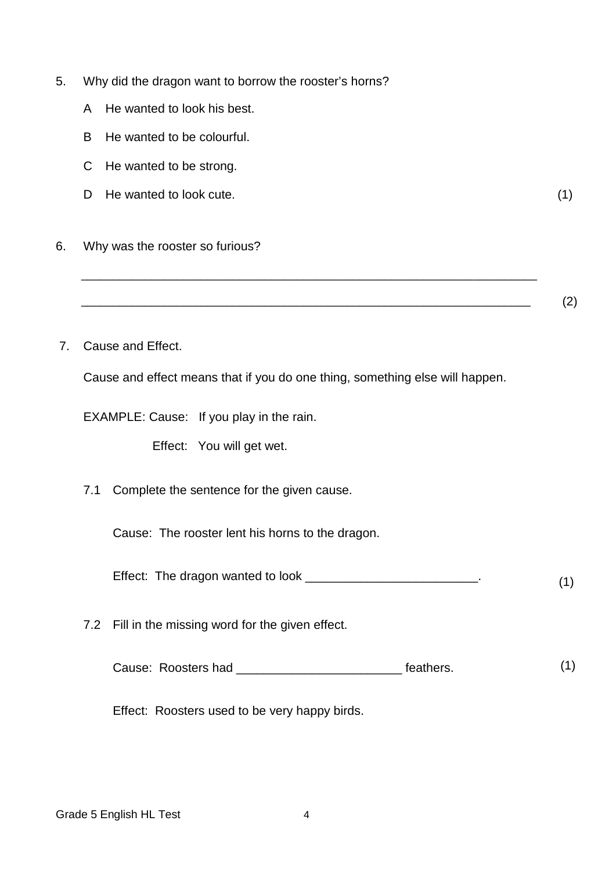- 5. Why did the dragon want to borrow the rooster's horns?
	- A He wanted to look his best.
	- B He wanted to be colourful.
	- C He wanted to be strong.
	- D He wanted to look cute. (1)
- 6. Why was the rooster so furious?

 $\overline{\phantom{a}}$  (2)

7. Cause and Effect.

Cause and effect means that if you do one thing, something else will happen.

\_\_\_\_\_\_\_\_\_\_\_\_\_\_\_\_\_\_\_\_\_\_\_\_\_\_\_\_\_\_\_\_\_\_\_\_\_\_\_\_\_\_\_\_\_\_\_\_\_\_\_\_\_\_\_\_\_\_\_\_\_\_\_\_\_\_\_\_\_\_\_\_

EXAMPLE: Cause: If you play in the rain.

Effect: You will get wet.

7.1 Complete the sentence for the given cause.

Cause: The rooster lent his horns to the dragon.

Effect: The dragon wanted to look \_\_\_\_\_\_\_\_\_\_\_\_\_\_\_\_\_\_\_\_\_\_\_\_\_\_\_\_\_. (1)

7.2 Fill in the missing word for the given effect.

Cause: Roosters had \_\_\_\_\_\_\_\_\_\_\_\_\_\_\_\_\_\_\_\_\_\_\_\_\_\_\_\_\_ feathers. (1)

Effect: Roosters used to be very happy birds.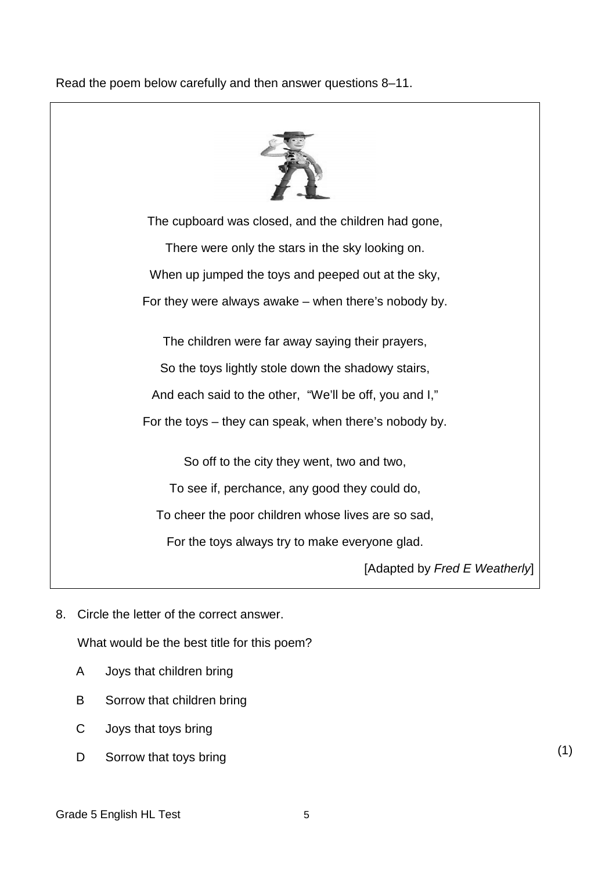## Read the poem below carefully and then answer questions 8–11.



The cupboard was closed, and the children had gone, There were only the stars in the sky looking on. When up jumped the toys and peeped out at the sky, For they were always awake – when there's nobody by. The children were far away saying their prayers,

So the toys lightly stole down the shadowy stairs,

And each said to the other, "We'll be off, you and I,"

For the toys – they can speak, when there's nobody by.

So off to the city they went, two and two,

To see if, perchance, any good they could do,

To cheer the poor children whose lives are so sad,

For the toys always try to make everyone glad.

[Adapted by *Fred E Weatherly*]

8. Circle the letter of the correct answer.

What would be the best title for this poem?

- A Joys that children bring
- B Sorrow that children bring
- C Joys that toys bring
- D. Sorrow that toys bring (1)

Grade 5 English HL Test 5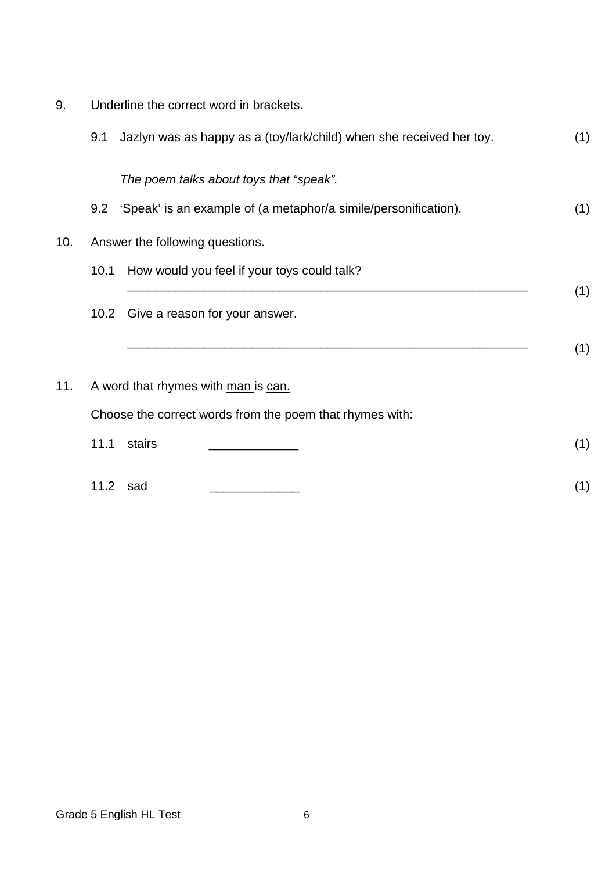9. Underline the correct word in brackets.

|     | 9.1  | Jazlyn was as happy as a (toy/lark/child) when she received her toy.                            | (1) |
|-----|------|-------------------------------------------------------------------------------------------------|-----|
|     |      | The poem talks about toys that "speak".                                                         |     |
|     |      | 9.2 'Speak' is an example of (a metaphor/a simile/personification).                             | (1) |
| 10. |      | Answer the following questions.                                                                 |     |
|     | 10.1 | How would you feel if your toys could talk?                                                     |     |
|     | 10.2 | Give a reason for your answer.                                                                  | (1) |
| 11. |      | A word that rhymes with man is can.<br>Choose the correct words from the poem that rhymes with: | (1) |
|     | 11.1 | stairs                                                                                          | (1) |
|     |      | 11.2 sad                                                                                        | (1) |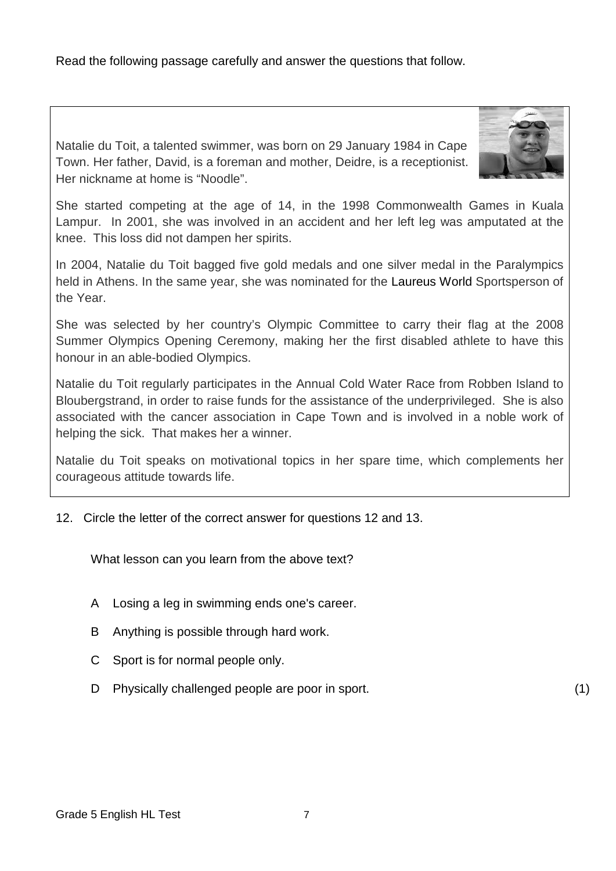Read the following passage carefully and answer the questions that follow.

Natalie du Toit, a talented swimmer, was born on 29 January 1984 in Cape Town. Her father, David, is a foreman and mother, Deidre, is a receptionist. Her nickname at home is "Noodle".



She started competing at the age of 14, in the 1998 Commonwealth Games in Kuala Lampur. In 2001, she was involved in an accident and her left leg was amputated at the knee. This loss did not dampen her spirits.

In 2004, Natalie du Toit bagged five gold medals and one silver medal in the Paralympics held in Athens. In the same year, she was nominated for the Laureus World Sportsperson of the Year.

She was selected by her country's Olympic Committee to carry their flag at the 2008 Summer Olympics Opening Ceremony, making her the first disabled athlete to have this honour in an able-bodied Olympics.

Natalie du Toit regularly participates in the Annual Cold Water Race from Robben Island to Bloubergstrand, in order to raise funds for the assistance of the underprivileged. She is also associated with the cancer association in Cape Town and is involved in a noble work of helping the sick. That makes her a winner.

Natalie du Toit speaks on motivational topics in her spare time, which complements her courageous attitude towards life.

12. Circle the letter of the correct answer for questions 12 and 13.

What lesson can you learn from the above text?

- A Losing a leg in swimming ends one's career.
- B Anything is possible through hard work.
- C Sport is for normal people only.
- D Physically challenged people are poor in sport. (1)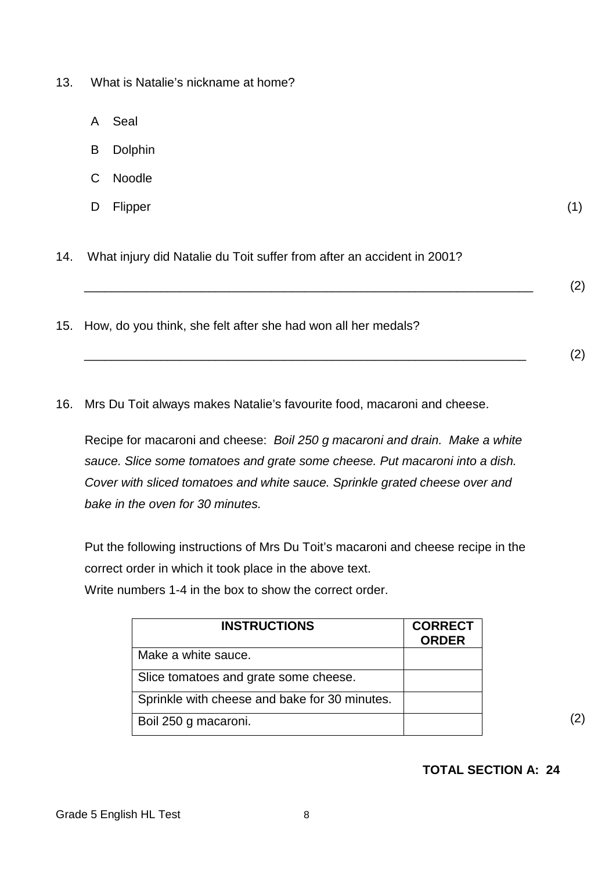- 13. What is Natalie's nickname at home?
	- A Seal
	- B Dolphin
	- C Noodle
	- D Flipper Flipper (1)

14. What injury did Natalie du Toit suffer from after an accident in 2001?

\_\_\_\_\_\_\_\_\_\_\_\_\_\_\_\_\_\_\_\_\_\_\_\_\_\_\_\_\_\_\_\_\_\_\_\_\_\_\_\_\_\_\_\_\_\_\_\_\_\_\_\_\_\_\_\_\_\_\_\_\_\_\_\_\_ (2)

- 15. How, do you think, she felt after she had won all her medals?
- 16. Mrs Du Toit always makes Natalie's favourite food, macaroni and cheese.

Recipe for macaroni and cheese:*Boil 250 g macaroni and drain. Make a white sauce. Slice some tomatoes and grate some cheese. Put macaroni into a dish. Cover with sliced tomatoes and white sauce. Sprinkle grated cheese over and bake in the oven for 30 minutes.*

\_\_\_\_\_\_\_\_\_\_\_\_\_\_\_\_\_\_\_\_\_\_\_\_\_\_\_\_\_\_\_\_\_\_\_\_\_\_\_\_\_\_\_\_\_\_\_\_\_\_\_\_\_\_\_\_\_\_\_\_\_\_\_\_ (2)

Put the following instructions of Mrs Du Toit's macaroni and cheese recipe in the correct order in which it took place in the above text. Write numbers 1-4 in the box to show the correct order.

| <b>INSTRUCTIONS</b>                           | <b>CORRECT</b><br><b>ORDER</b> |  |
|-----------------------------------------------|--------------------------------|--|
| Make a white sauce.                           |                                |  |
| Slice tomatoes and grate some cheese.         |                                |  |
| Sprinkle with cheese and bake for 30 minutes. |                                |  |
| Boil 250 g macaroni.                          |                                |  |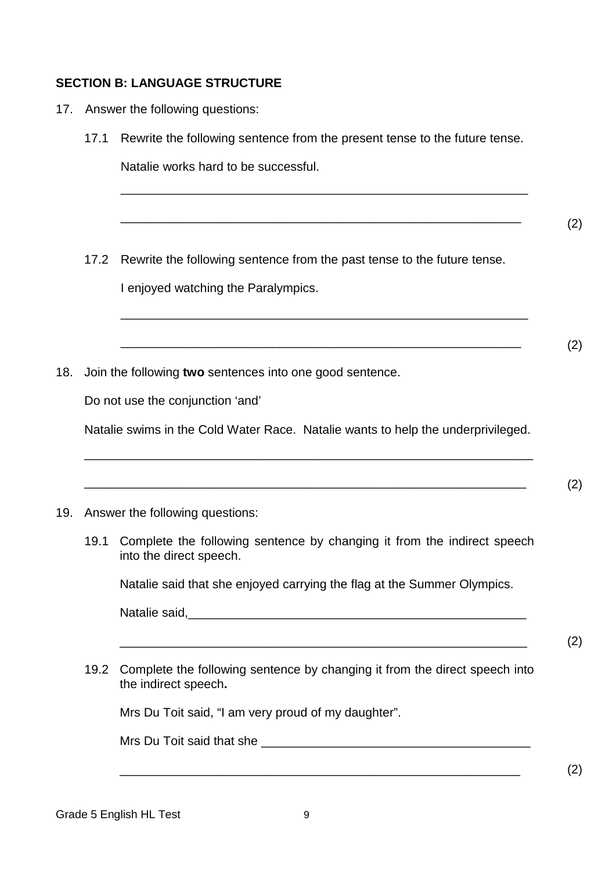## **SECTION B: LANGUAGE STRUCTURE**

- 17. Answer the following questions:
	- 17.1 Rewrite the following sentence from the present tense to the future tense.

\_\_\_\_\_\_\_\_\_\_\_\_\_\_\_\_\_\_\_\_\_\_\_\_\_\_\_\_\_\_\_\_\_\_\_\_\_\_\_\_\_\_\_\_\_\_\_\_\_\_\_\_\_\_\_\_\_\_\_

\_\_\_\_\_\_\_\_\_\_\_\_\_\_\_\_\_\_\_\_\_\_\_\_\_\_\_\_\_\_\_\_\_\_\_\_\_\_\_\_\_\_\_\_\_\_\_\_\_\_\_\_\_\_\_\_\_\_

\_\_\_\_\_\_\_\_\_\_\_\_\_\_\_\_\_\_\_\_\_\_\_\_\_\_\_\_\_\_\_\_\_\_\_\_\_\_\_\_\_\_\_\_\_\_\_\_\_\_\_\_\_\_\_\_\_\_\_

\_\_\_\_\_\_\_\_\_\_\_\_\_\_\_\_\_\_\_\_\_\_\_\_\_\_\_\_\_\_\_\_\_\_\_\_\_\_\_\_\_\_\_\_\_\_\_\_\_\_\_\_\_\_\_\_\_\_

Natalie works hard to be successful.

- (2)
- 17.2 Rewrite the following sentence from the past tense to the future tense. I enjoyed watching the Paralympics.
- (2)

18. Join the following **two** sentences into one good sentence.

Do not use the conjunction 'and'

Natalie swims in the Cold Water Race. Natalie wants to help the underprivileged.

\_\_\_\_\_\_\_\_\_\_\_\_\_\_\_\_\_\_\_\_\_\_\_\_\_\_\_\_\_\_\_\_\_\_\_\_\_\_\_\_\_\_\_\_\_\_\_\_\_\_\_\_\_\_\_\_\_\_\_\_\_\_\_\_\_

 $\hspace{2cm} (2)$ 

#### 19. Answer the following questions:

19.1 Complete the following sentence by changing it from the indirect speech into the direct speech.

Natalie said that she enjoyed carrying the flag at the Summer Olympics.

\_\_\_\_\_\_\_\_\_\_\_\_\_\_\_\_\_\_\_\_\_\_\_\_\_\_\_\_\_\_\_\_\_\_\_\_\_\_\_\_\_\_\_\_\_\_\_\_\_\_\_\_\_\_\_\_\_\_\_

| Natalie said, |  |
|---------------|--|
|               |  |

(2)

(2)

19.2 Complete the following sentence by changing it from the direct speech into the indirect speech**.**

Mrs Du Toit said, "I am very proud of my daughter".

Mrs Du Toit said that she **Example 2018** 

\_\_\_\_\_\_\_\_\_\_\_\_\_\_\_\_\_\_\_\_\_\_\_\_\_\_\_\_\_\_\_\_\_\_\_\_\_\_\_\_\_\_\_\_\_\_\_\_\_\_\_\_\_\_\_\_\_\_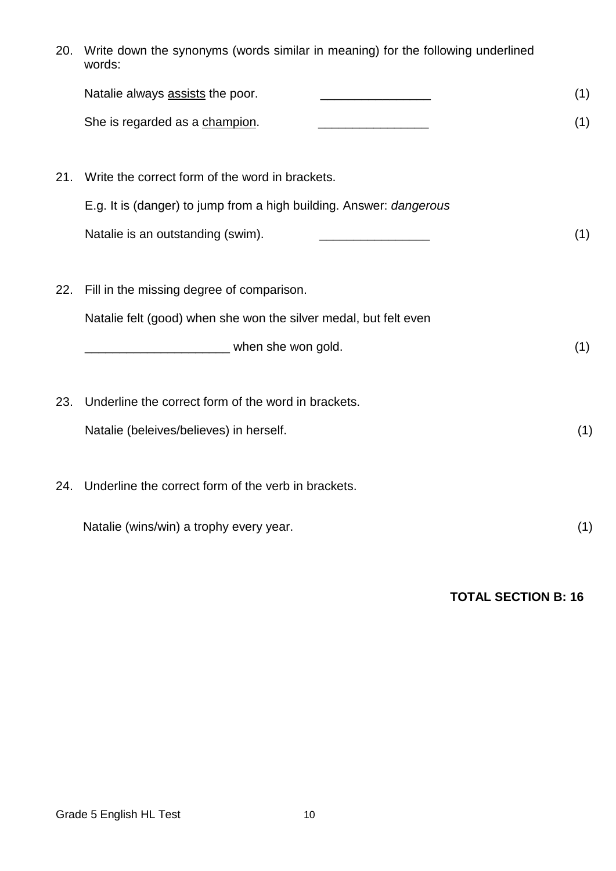| 20. | Write down the synonyms (words similar in meaning) for the following underlined<br>words: |     |  |
|-----|-------------------------------------------------------------------------------------------|-----|--|
|     | Natalie always assists the poor.                                                          | (1) |  |
|     | She is regarded as a champion.                                                            | (1) |  |
| 21. | Write the correct form of the word in brackets.                                           |     |  |
|     | E.g. It is (danger) to jump from a high building. Answer: dangerous                       |     |  |
|     | Natalie is an outstanding (swim).                                                         | (1) |  |
|     |                                                                                           |     |  |
| 22. | Fill in the missing degree of comparison.                                                 |     |  |
|     | Natalie felt (good) when she won the silver medal, but felt even                          |     |  |
|     | _________________________ when she won gold.                                              | (1) |  |
|     |                                                                                           |     |  |
| 23. | Underline the correct form of the word in brackets.                                       |     |  |
|     | Natalie (beleives/believes) in herself.                                                   | (1) |  |
|     |                                                                                           |     |  |
| 24. | Underline the correct form of the verb in brackets.                                       |     |  |
|     | Natalie (wins/win) a trophy every year.                                                   | (1) |  |
|     |                                                                                           |     |  |

# **TOTAL SECTION B: 16**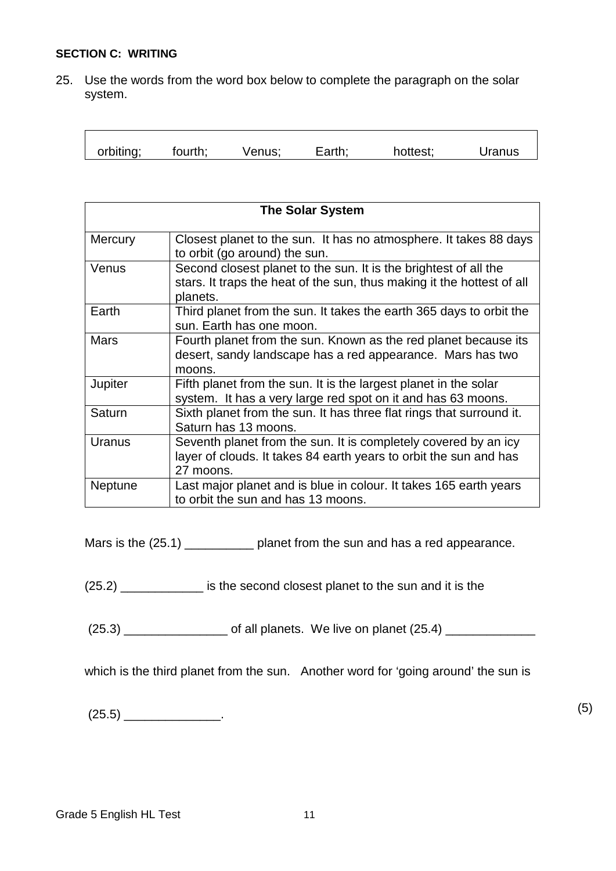#### **SECTION C: WRITING**

25. Use the words from the word box below to complete the paragraph on the solar system.

|  | orbiting; | fourth: | Venus: | Earth: | hottest; | Jranus |
|--|-----------|---------|--------|--------|----------|--------|
|--|-----------|---------|--------|--------|----------|--------|

| <b>The Solar System</b> |                                                                                                                                                        |  |  |
|-------------------------|--------------------------------------------------------------------------------------------------------------------------------------------------------|--|--|
| <b>Mercury</b>          | Closest planet to the sun. It has no atmosphere. It takes 88 days<br>to orbit (go around) the sun.                                                     |  |  |
| Venus                   | Second closest planet to the sun. It is the brightest of all the<br>stars. It traps the heat of the sun, thus making it the hottest of all<br>planets. |  |  |
| Earth                   | Third planet from the sun. It takes the earth 365 days to orbit the<br>sun. Earth has one moon.                                                        |  |  |
| <b>Mars</b>             | Fourth planet from the sun. Known as the red planet because its<br>desert, sandy landscape has a red appearance. Mars has two<br>moons.                |  |  |
| Jupiter                 | Fifth planet from the sun. It is the largest planet in the solar<br>system. It has a very large red spot on it and has 63 moons.                       |  |  |
| Saturn                  | Sixth planet from the sun. It has three flat rings that surround it.<br>Saturn has 13 moons.                                                           |  |  |
| Uranus                  | Seventh planet from the sun. It is completely covered by an icy<br>layer of clouds. It takes 84 earth years to orbit the sun and has<br>27 moons.      |  |  |
| <b>Neptune</b>          | Last major planet and is blue in colour. It takes 165 earth years<br>to orbit the sun and has 13 moons.                                                |  |  |

Mars is the (25.1) \_\_\_\_\_\_\_\_\_\_\_\_\_ planet from the sun and has a red appearance.

(25.2) \_\_\_\_\_\_\_\_\_\_\_\_ is the second closest planet to the sun and it is the

 $(25.3)$  of all planets. We live on planet  $(25.4)$ 

which is the third planet from the sun. Another word for 'going around' the sun is

 $(25.5)$  (3)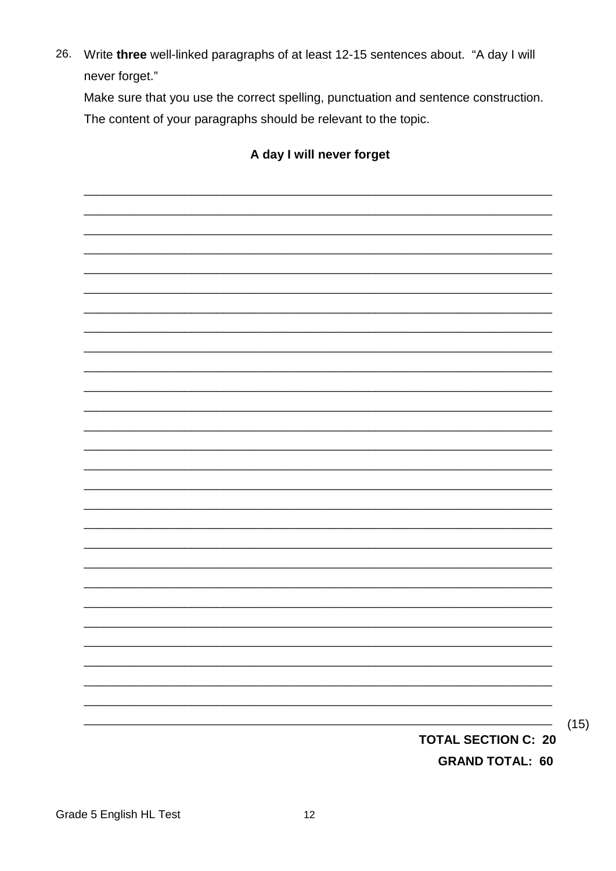26. Write three well-linked paragraphs of at least 12-15 sentences about. "A day I will never forget."

Make sure that you use the correct spelling, punctuation and sentence construction. The content of your paragraphs should be relevant to the topic.

# A day I will never forget

**TOTAL SECTION C: 20 GRAND TOTAL: 60** 

 $(15)$